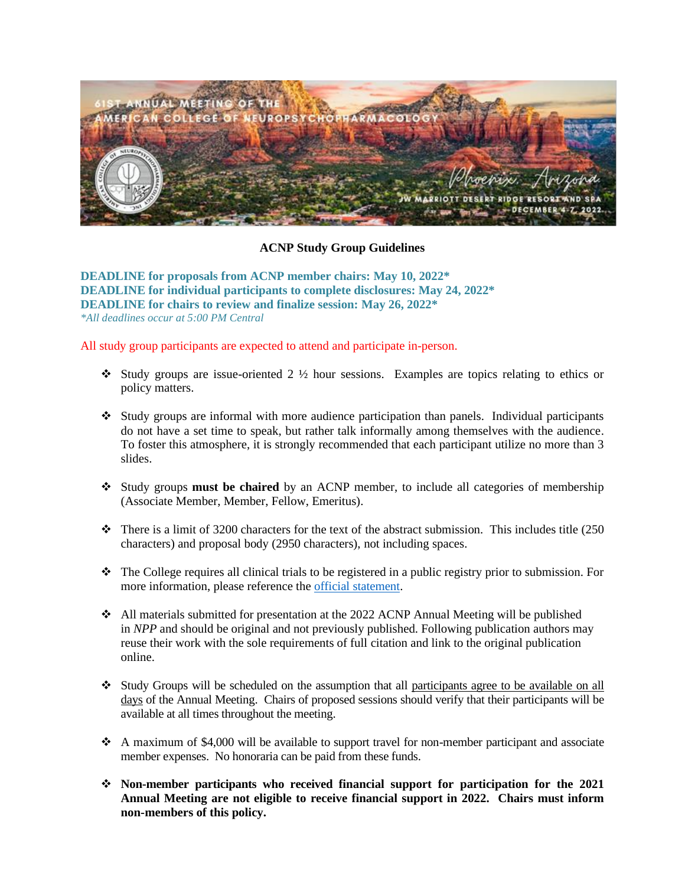

## **ACNP Study Group Guidelines**

**DEADLINE for proposals from ACNP member chairs: May 10, 2022\* DEADLINE for individual participants to complete disclosures: May 24, 2022\* DEADLINE for chairs to review and finalize session: May 26, 2022\*** *\*All deadlines occur at 5:00 PM Central*

All study group participants are expected to attend and participate in-person.

- ❖ Study groups are issue-oriented 2 ½ hour sessions. Examples are topics relating to ethics or policy matters.
- ❖ Study groups are informal with more audience participation than panels. Individual participants do not have a set time to speak, but rather talk informally among themselves with the audience. To foster this atmosphere, it is strongly recommended that each participant utilize no more than 3 slides.
- ❖ Study groups **must be chaired** by an ACNP member, to include all categories of membership (Associate Member, Member, Fellow, Emeritus).
- $\cdot \cdot$  There is a limit of 3200 characters for the text of the abstract submission. This includes title (250) characters) and proposal body (2950 characters), not including spaces.
- ❖ The College requires all clinical trials to be registered in a public registry prior to submission. For more information, please reference the [official statement.](https://acnp.org/wp-content/uploads/2017/10/REVISEDACNPClinicalTrialsStatement2013.pdf)
- ❖ All materials submitted for presentation at the 2022 ACNP Annual Meeting will be published in *NPP* and should be original and not previously published. Following publication authors may reuse their work with the sole requirements of full citation and link to the original publication online.
- ❖ Study Groups will be scheduled on the assumption that all participants agree to be available on all days of the Annual Meeting. Chairs of proposed sessions should verify that their participants will be available at all times throughout the meeting.
- ❖ A maximum of \$4,000 will be available to support travel for non-member participant and associate member expenses. No honoraria can be paid from these funds.
- ❖ **Non-member participants who received financial support for participation for the 2021 Annual Meeting are not eligible to receive financial support in 2022. Chairs must inform non-members of this policy.**